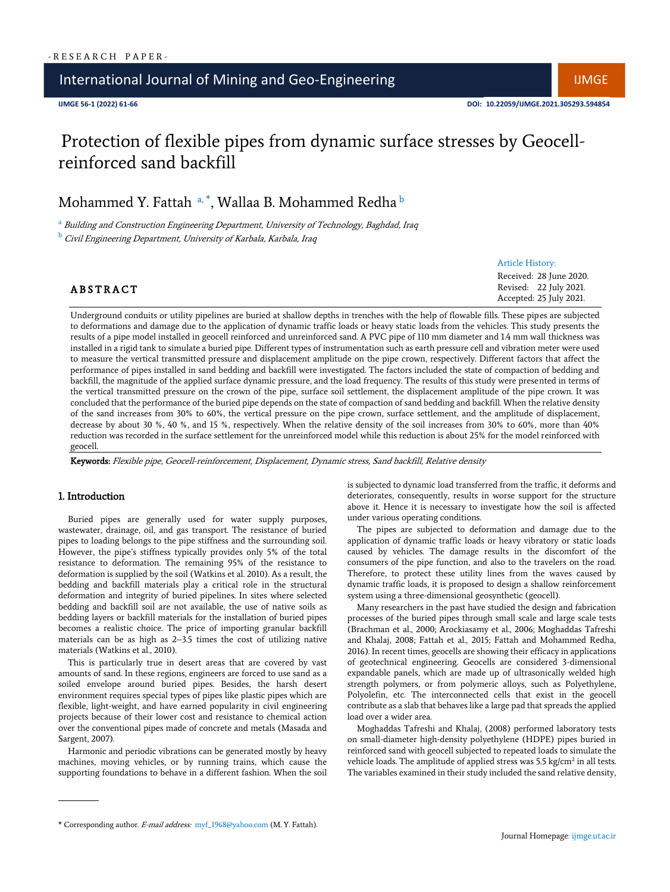## International Journal of Mining and Geo-Engineering International Indian IIMGE

# Protection of flexible pipes from dynamic surface stresses by Geocellreinforced sand backfill

Mohammed Y. Fattah a, \*, Wallaa B. Mohammed Redha <sup>b</sup>

<sup>a</sup> Building and Construction Engineering Department, University of Technology, Baghdad, Iraq <sup>b</sup> Civil Engineering Department, University of Karbala, Karbala, Iraq

Article History:

## **ABSTRACT**

Received: 28 June 2020. Revised: 22 July 2021. Accepted: 25 July 2021.

Underground conduits or utility pipelines are buried at shallow depths in trenches with the help of flowable fills. These pipes are subjected to deformations and damage due to the application of dynamic traffic loads or heavy static loads from the vehicles. This study presents the results of a pipe model installed in geocell reinforced and unreinforced sand. A PVC pipe of 110 mm diameter and 1.4 mm wall thickness was installed in a rigid tank to simulate a buried pipe. Different types of instrumentation such as earth pressure cell and vibration meter were used to measure the vertical transmitted pressure and displacement amplitude on the pipe crown, respectively. Different factors that affect the performance of pipes installed in sand bedding and backfill were investigated. The factors included the state of compaction of bedding and backfill, the magnitude of the applied surface dynamic pressure, and the load frequency. The results of this study were presented in terms of the vertical transmitted pressure on the crown of the pipe, surface soil settlement, the displacement amplitude of the pipe crown. It was concluded that the performance of the buried pipe depends on the state of compaction of sand bedding and backfill. When the relative density of the sand increases from 30% to 60%, the vertical pressure on the pipe crown, surface settlement, and the amplitude of displacement, decrease by about 30 %, 40 %, and 15 %, respectively. When the relative density of the soil increases from 30% to 60%, more than 40% reduction was recorded in the surface settlement for the unreinforced model while this reduction is about 25% for the model reinforced with geocell.

Keywords: Flexible pipe, Geocell-reinforcement, Displacement, Dynamic stress, Sand backfill, Relative density

#### 1. Introduction

Buried pipes are generally used for water supply purposes, wastewater, drainage, oil, and gas transport. The resistance of buried pipes to loading belongs to the pipe stiffness and the surrounding soil. However, the pipe's stiffness typically provides only 5% of the total resistance to deformation. The remaining 95% of the resistance to deformation is supplied by the soil (Watkins et al. 2010). As a result, the bedding and backfill materials play a critical role in the structural deformation and integrity of buried pipelines. In sites where selected bedding and backfill soil are not available, the use of native soils as bedding layers or backfill materials for the installation of buried pipes becomes a realistic choice. The price of importing granular backfill materials can be as high as 2–3.5 times the cost of utilizing native materials (Watkins et al., 2010).

This is particularly true in desert areas that are covered by vast amounts of sand. In these regions, engineers are forced to use sand as a soiled envelope around buried pipes. Besides, the harsh desert environment requires special types of pipes like plastic pipes which are flexible, light-weight, and have earned popularity in civil engineering projects because of their lower cost and resistance to chemical action over the conventional pipes made of concrete and metals (Masada and Sargent, 2007).

Harmonic and periodic vibrations can be generated mostly by heavy machines, moving vehicles, or by running trains, which cause the supporting foundations to behave in a different fashion. When the soil is subjected to dynamic load transferred from the traffic, it deforms and deteriorates, consequently, results in worse support for the structure above it. Hence it is necessary to investigate how the soil is affected under various operating conditions.

The pipes are subjected to deformation and damage due to the application of dynamic traffic loads or heavy vibratory or static loads caused by vehicles. The damage results in the discomfort of the consumers of the pipe function, and also to the travelers on the road. Therefore, to protect these utility lines from the waves caused by dynamic traffic loads, it is proposed to design a shallow reinforcement system using a three-dimensional geosynthetic (geocell).

Many researchers in the past have studied the design and fabrication processes of the buried pipes through small scale and large scale tests (Brachman et al., 2000; Arockiasamy et al., 2006; Moghaddas Tafreshi and Khalaj, 2008; Fattah et al., 2015; Fattah and Mohammed Redha, 2016). In recent times, geocells are showing their efficacy in applications of geotechnical engineering. Geocells are considered 3-dimensional expandable panels, which are made up of ultrasonically welded high strength polymers, or from polymeric alloys, such as Polyethylene, Polyolefin, etc. The interconnected cells that exist in the geocell contribute as a slab that behaves like a large pad that spreads the applied load over a wider area.

Moghaddas Tafreshi and Khalaj, (2008) performed laboratory tests on small-diameter high-density polyethylene (HDPE) pipes buried in reinforced sand with geocell subjected to repeated loads to simulate the vehicle loads. The amplitude of applied stress was  $5.5 \text{ kg/cm}^2$  in all tests. The variables examined in their study included the sand relative density,

<sup>\*</sup> Corresponding author. E-mail address: myf\_1968@yahoo.com (M. Y. Fattah).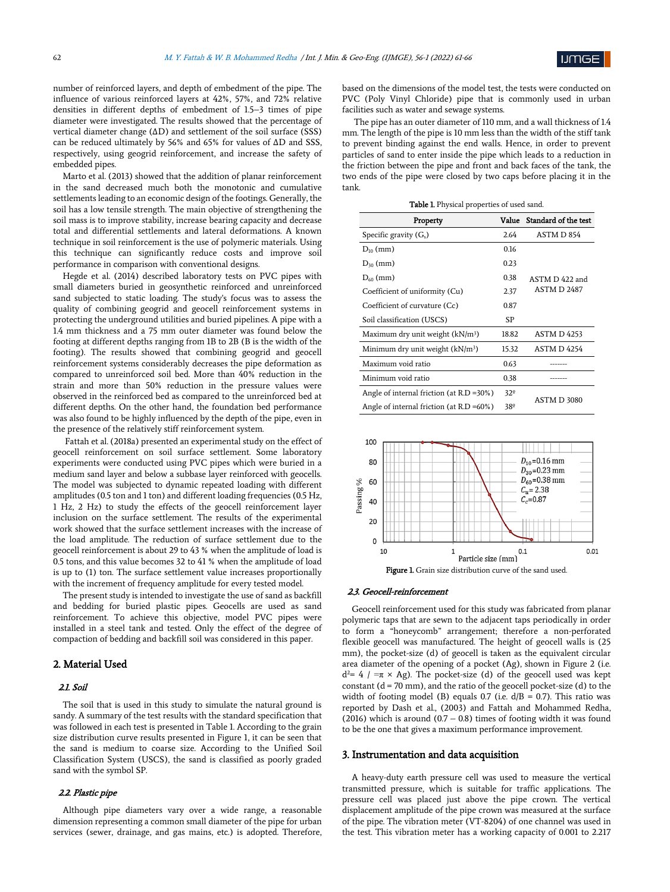number of reinforced layers, and depth of embedment of the pipe. The influence of various reinforced layers at 42%, 57%, and 72% relative densities in different depths of embedment of 1.5–3 times of pipe diameter were investigated. The results showed that the percentage of vertical diameter change (ΔD) and settlement of the soil surface (SSS) can be reduced ultimately by 56% and 65% for values of ΔD and SSS, respectively, using geogrid reinforcement, and increase the safety of embedded pipes.

Marto et al. (2013) showed that the addition of planar reinforcement in the sand decreased much both the monotonic and cumulative settlements leading to an economic design of the footings. Generally, the soil has a low tensile strength. The main objective of strengthening the soil mass is to improve stability, increase bearing capacity and decrease total and differential settlements and lateral deformations. A known technique in soil reinforcement is the use of polymeric materials. Using this technique can significantly reduce costs and improve soil performance in comparison with conventional designs.

Hegde et al. (2014) described laboratory tests on PVC pipes with small diameters buried in geosynthetic reinforced and unreinforced sand subjected to static loading. The study's focus was to assess the quality of combining geogrid and geocell reinforcement systems in protecting the underground utilities and buried pipelines. A pipe with a 1.4 mm thickness and a 75 mm outer diameter was found below the footing at different depths ranging from 1B to 2B (B is the width of the footing). The results showed that combining geogrid and geocell reinforcement systems considerably decreases the pipe deformation as compared to unreinforced soil bed. More than 40% reduction in the strain and more than 50% reduction in the pressure values were observed in the reinforced bed as compared to the unreinforced bed at different depths. On the other hand, the foundation bed performance was also found to be highly influenced by the depth of the pipe, even in the presence of the relatively stiff reinforcement system.

Fattah et al. (2018a) presented an experimental study on the effect of geocell reinforcement on soil surface settlement. Some laboratory experiments were conducted using PVC pipes which were buried in a medium sand layer and below a subbase layer reinforced with geocells. The model was subjected to dynamic repeated loading with different amplitudes (0.5 ton and 1 ton) and different loading frequencies (0.5 Hz, 1 Hz, 2 Hz) to study the effects of the geocell reinforcement layer inclusion on the surface settlement. The results of the experimental work showed that the surface settlement increases with the increase of the load amplitude. The reduction of surface settlement due to the geocell reinforcement is about 29 to 43 % when the amplitude of load is 0.5 tons, and this value becomes 32 to 41 % when the amplitude of load is up to (1) ton. The surface settlement value increases proportionally with the increment of frequency amplitude for every tested model.

The present study is intended to investigate the use of sand as backfill and bedding for buried plastic pipes. Geocells are used as sand reinforcement. To achieve this objective, model PVC pipes were installed in a steel tank and tested. Only the effect of the degree of compaction of bedding and backfill soil was considered in this paper.

## 2. Material Used

## 2.1. Soil

The soil that is used in this study to simulate the natural ground is sandy. A summary of the test results with the standard specification that was followed in each test is presented in Table 1. According to the grain size distribution curve results presented in Figure 1, it can be seen that the sand is medium to coarse size. According to the Unified Soil Classification System (USCS), the sand is classified as poorly graded sand with the symbol SP.

#### 2.2. Plastic pipe

Although pipe diameters vary over a wide range, a reasonable dimension representing a common small diameter of the pipe for urban services (sewer, drainage, and gas mains, etc.) is adopted. Therefore, based on the dimensions of the model test, the tests were conducted on PVC (Poly Vinyl Chloride) pipe that is commonly used in urban facilities such as water and sewage systems.

The pipe has an outer diameter of 110 mm, and a wall thickness of 1.4 mm. The length of the pipe is 10 mm less than the width of the stiff tank to prevent binding against the end walls. Hence, in order to prevent particles of sand to enter inside the pipe which leads to a reduction in the friction between the pipe and front and back faces of the tank, the two ends of the pipe were closed by two caps before placing it in the tank.

| Table 1. Physical properties of used sand. |      |                            |  |  |
|--------------------------------------------|------|----------------------------|--|--|
| Property                                   |      | Value Standard of the test |  |  |
| ity (G.)                                   | 2.64 | ASTM D 854                 |  |  |

| Specific gravity $(G_s)$                      | 2.64         | ASTM D 854                                 |  |
|-----------------------------------------------|--------------|--------------------------------------------|--|
| $D_{10}$ (mm)                                 | 0.16         |                                            |  |
| $D_{30}$ (mm)                                 | 0.23         |                                            |  |
| $D_{60}$ (mm)                                 | 0.38         | ASTM D 422 and<br><b>ASTM D 2487</b><br>SP |  |
| Coefficient of uniformity (Cu)                | 2.37         |                                            |  |
| Coefficient of curvature (Cc)                 | 0.87         |                                            |  |
| Soil classification (USCS)                    |              |                                            |  |
| Maximum dry unit weight (kN/m <sup>3</sup> )  | 18.82        | <b>ASTM D 4253</b>                         |  |
| Minimum dry unit weight $(kN/m3)$             | 15.32        | ASTM D 4254                                |  |
| Maximum void ratio                            | 0.63         |                                            |  |
| Minimum void ratio                            | 0.38         |                                            |  |
| Angle of internal friction (at $R.D = 30\%$ ) | $32^{\circ}$ | ASTM D 3080                                |  |
| Angle of internal friction (at $R.D = 60\%$ ) | 38º          |                                            |  |



#### 2.3. Geocell-reinforcement

Geocell reinforcement used for this study was fabricated from planar polymeric taps that are sewn to the adjacent taps periodically in order to form a "honeycomb" arrangement; therefore a non-perforated flexible geocell was manufactured. The height of geocell walls is (25 mm), the pocket-size (d) of geocell is taken as the equivalent circular area diameter of the opening of a pocket (Ag), shown in Figure 2 (i.e.  $d^2= 4$  / = $\pi \times$  Ag). The pocket-size (d) of the geocell used was kept constant ( $d = 70$  mm), and the ratio of the geocell pocket-size ( $d$ ) to the width of footing model (B) equals 0.7 (i.e.  $d/B = 0.7$ ). This ratio was reported by Dash et al., (2003) and Fattah and Mohammed Redha, (2016) which is around  $(0.7 - 0.8)$  times of footing width it was found to be the one that gives a maximum performance improvement.

#### 3. Instrumentation and data acquisition

A heavy-duty earth pressure cell was used to measure the vertical transmitted pressure, which is suitable for traffic applications. The pressure cell was placed just above the pipe crown. The vertical displacement amplitude of the pipe crown was measured at the surface of the pipe. The vibration meter (VT-8204) of one channel was used in the test. This vibration meter has a working capacity of 0.001 to 2.217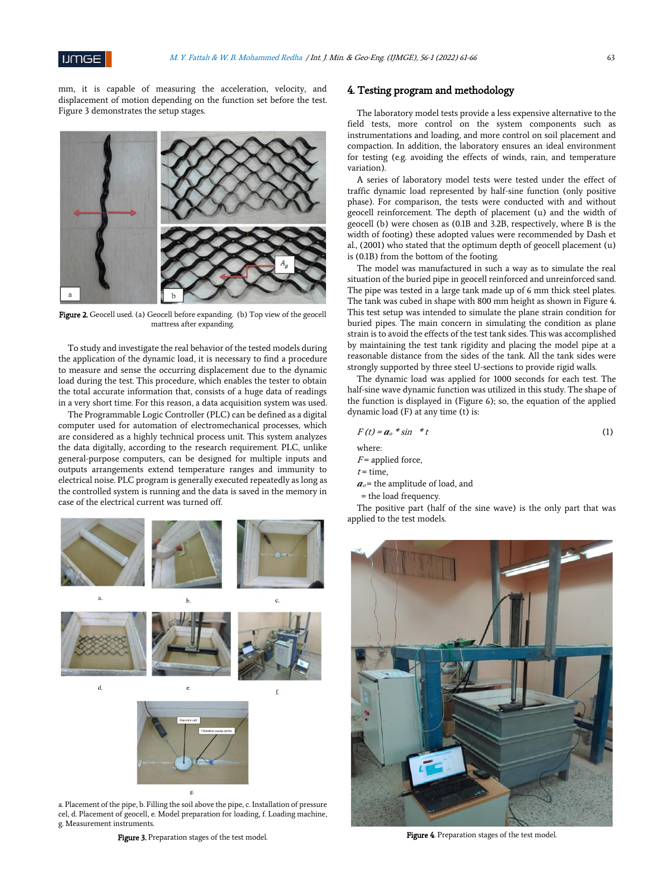

mm, it is capable of measuring the acceleration, velocity, and displacement of motion depending on the function set before the test. Figure 3 demonstrates the setup stages.



Figure 2. Geocell used. (a) Geocell before expanding. (b) Top view of the geocell mattress after expanding.

To study and investigate the real behavior of the tested models during the application of the dynamic load, it is necessary to find a procedure to measure and sense the occurring displacement due to the dynamic load during the test. This procedure, which enables the tester to obtain the total accurate information that, consists of a huge data of readings in a very short time. For this reason, a data acquisition system was used.

The Programmable Logic Controller (PLC) can be defined as a digital computer used for automation of electromechanical processes, which are considered as a highly technical process unit. This system analyzes the data digitally, according to the research requirement. PLC, unlike general-purpose computers, can be designed for multiple inputs and outputs arrangements extend temperature ranges and immunity to electrical noise. PLC program is generally executed repeatedly as long as the controlled system is running and the data is saved in the memory in case of the electrical current was turned off.



a. Placement of the pipe, b. Filling the soil above the pipe, c. Installation of pressure cel, d. Placement of geocell, e. Model preparation for loading, f. Loading machine, g. Measurement instruments.

Figure 3. Preparation stages of the test model.

## 4. Testing program and methodology

The laboratory model tests provide a less expensive alternative to the field tests, more control on the system components such as instrumentations and loading, and more control on soil placement and compaction. In addition, the laboratory ensures an ideal environment for testing (e.g. avoiding the effects of winds, rain, and temperature variation).

A series of laboratory model tests were tested under the effect of traffic dynamic load represented by half-sine function (only positive phase). For comparison, the tests were conducted with and without geocell reinforcement. The depth of placement (u) and the width of geocell (b) were chosen as (0.1B and 3.2B, respectively, where B is the width of footing) these adopted values were recommended by Dash et al., (2001) who stated that the optimum depth of geocell placement (u) is (0.1B) from the bottom of the footing.

The model was manufactured in such a way as to simulate the real situation of the buried pipe in geocell reinforced and unreinforced sand. The pipe was tested in a large tank made up of 6 mm thick steel plates. The tank was cubed in shape with 800 mm height as shown in Figure 4. This test setup was intended to simulate the plane strain condition for buried pipes. The main concern in simulating the condition as plane strain is to avoid the effects of the test tank sides. This was accomplished by maintaining the test tank rigidity and placing the model pipe at a reasonable distance from the sides of the tank. All the tank sides were strongly supported by three steel U-sections to provide rigid walls.

The dynamic load was applied for 1000 seconds for each test. The half-sine wave dynamic function was utilized in this study. The shape of the function is displayed in (Figure 6); so, the equation of the applied dynamic load (F) at any time (t) is:

$$
F(t) = a_o * \sin * t \tag{1}
$$

where:

 $F$  = applied force,

 $t =$  time,

 $a<sub>o</sub>$  = the amplitude of load, and

= the load frequency.

The positive part (half of the sine wave) is the only part that was applied to the test models.



Figure 4. Preparation stages of the test model.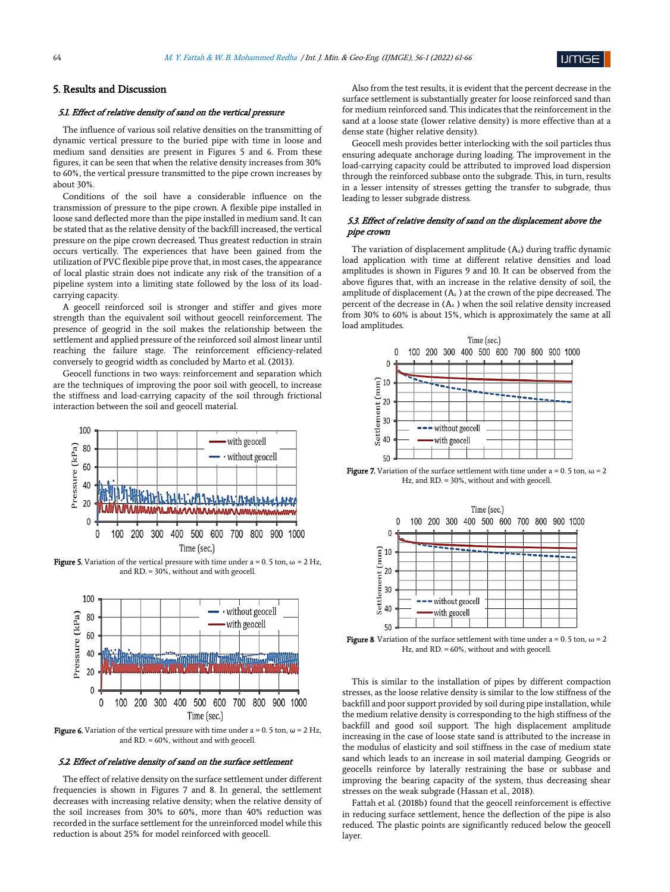

## 5. Results and Discussion

#### 5.1. Effect of relative density of sand on the vertical pressure

The influence of various soil relative densities on the transmitting of dynamic vertical pressure to the buried pipe with time in loose and medium sand densities are present in Figures 5 and 6. From these figures, it can be seen that when the relative density increases from 30% to 60%, the vertical pressure transmitted to the pipe crown increases by about 30%.

Conditions of the soil have a considerable influence on the transmission of pressure to the pipe crown. A flexible pipe installed in loose sand deflected more than the pipe installed in medium sand. It can be stated that as the relative density of the backfill increased, the vertical pressure on the pipe crown decreased. Thus greatest reduction in strain occurs vertically. The experiences that have been gained from the utilization of PVC flexible pipe prove that, in most cases, the appearance of local plastic strain does not indicate any risk of the transition of a pipeline system into a limiting state followed by the loss of its loadcarrying capacity.

A geocell reinforced soil is stronger and stiffer and gives more strength than the equivalent soil without geocell reinforcement. The presence of geogrid in the soil makes the relationship between the settlement and applied pressure of the reinforced soil almost linear until reaching the failure stage. The reinforcement efficiency-related conversely to geogrid width as concluded by Marto et al. (2013).

Geocell functions in two ways: reinforcement and separation which are the techniques of improving the poor soil with geocell, to increase the stiffness and load-carrying capacity of the soil through frictional interaction between the soil and geocell material.



**Figure 5.** Variation of the vertical pressure with time under a = 0. 5 ton,  $\omega$  = 2 Hz, and RD. = 30%, without and with geocell.



**Figure 6.** Variation of the vertical pressure with time under  $a = 0.5$  ton,  $\omega = 2$  Hz, and RD. = 60%, without and with geocell.

#### 5.2. Effect of relative density of sand on the surface settlement

The effect of relative density on the surface settlement under different frequencies is shown in Figures 7 and 8. In general, the settlement decreases with increasing relative density; when the relative density of the soil increases from 30% to 60%, more than 40% reduction was recorded in the surface settlement for the unreinforced model while this reduction is about 25% for model reinforced with geocell.

Also from the test results, it is evident that the percent decrease in the surface settlement is substantially greater for loose reinforced sand than for medium reinforced sand. This indicates that the reinforcement in the sand at a loose state (lower relative density) is more effective than at a dense state (higher relative density).

Geocell mesh provides better interlocking with the soil particles thus ensuring adequate anchorage during loading. The improvement in the load-carrying capacity could be attributed to improved load dispersion through the reinforced subbase onto the subgrade. This, in turn, results in a lesser intensity of stresses getting the transfer to subgrade, thus leading to lesser subgrade distress.

## 5.3. Effect of relative density of sand on the displacement above the pipe crown

The variation of displacement amplitude  $(A_z)$  during traffic dynamic load application with time at different relative densities and load amplitudes is shown in Figures 9 and 10. It can be observed from the above figures that, with an increase in the relative density of soil, the amplitude of displacement  $(A_z)$  at the crown of the pipe decreased. The percent of the decrease in  $(A_z)$  when the soil relative density increased from 30% to 60% is about 15%, which is approximately the same at all load amplitudes.



**Figure 7.** Variation of the surface settlement with time under a = 0. 5 ton,  $\omega$  = 2 Hz, and RD. = 30%, without and with geocell.



**Figure 8**. Variation of the surface settlement with time under a = 0. 5 ton,  $\omega$  = 2 Hz, and RD. = 60%, without and with geocell.

This is similar to the installation of pipes by different compaction stresses, as the loose relative density is similar to the low stiffness of the backfill and poor support provided by soil during pipe installation, while the medium relative density is corresponding to the high stiffness of the backfill and good soil support. The high displacement amplitude increasing in the case of loose state sand is attributed to the increase in the modulus of elasticity and soil stiffness in the case of medium state sand which leads to an increase in soil material damping. Geogrids or geocells reinforce by laterally restraining the base or subbase and improving the bearing capacity of the system, thus decreasing shear stresses on the weak subgrade (Hassan et al., 2018).

Fattah et al. (2018b) found that the geocell reinforcement is effective in reducing surface settlement, hence the deflection of the pipe is also reduced. The plastic points are significantly reduced below the geocell layer.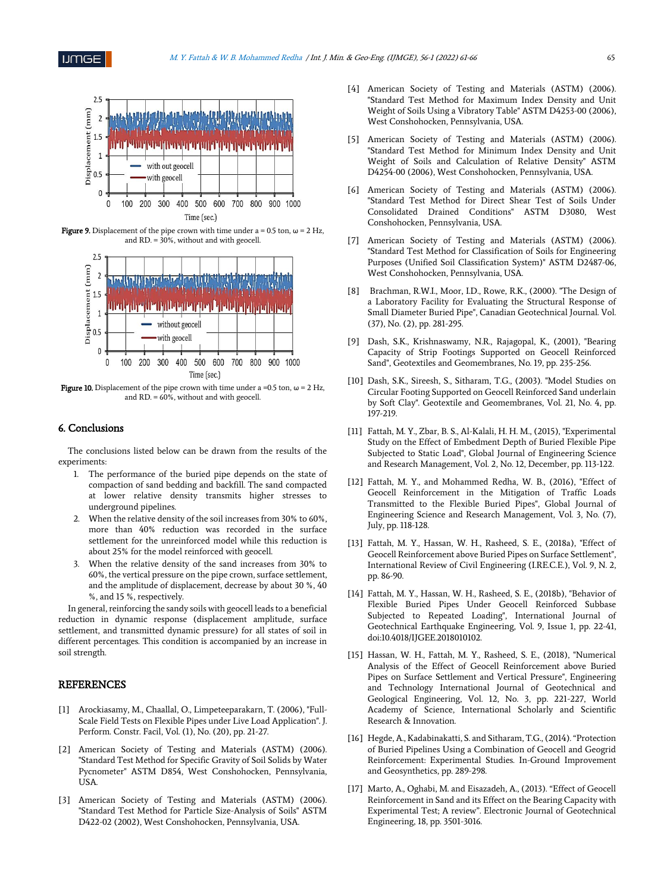

**Figure 9.** Displacement of the pipe crown with time under a = 0.5 ton,  $\omega$  = 2 Hz, and RD. = 30%, without and with geocell.



Figure 10. Displacement of the pipe crown with time under a =0.5 ton,  $\omega$  = 2 Hz, and  $RD = 60\%$ , without and with geocell.

### 6. Conclusions

The conclusions listed below can be drawn from the results of the experiments:

- 1. The performance of the buried pipe depends on the state of compaction of sand bedding and backfill. The sand compacted at lower relative density transmits higher stresses to underground pipelines.
- 2. When the relative density of the soil increases from 30% to 60%, more than 40% reduction was recorded in the surface settlement for the unreinforced model while this reduction is about 25% for the model reinforced with geocell.
- 3. When the relative density of the sand increases from 30% to 60%, the vertical pressure on the pipe crown, surface settlement, and the amplitude of displacement, decrease by about 30 %, 40 %, and 15 %, respectively.

In general, reinforcing the sandy soils with geocell leads to a beneficial reduction in dynamic response (displacement amplitude, surface settlement, and transmitted dynamic pressure) for all states of soil in different percentages. This condition is accompanied by an increase in soil strength.

## REFERENCES

- [1] Arockiasamy, M., Chaallal, O., Limpeteeparakarn, T. (2006), "Full-Scale Field Tests on Flexible Pipes under Live Load Application". J. Perform. Constr. Facil, Vol. (1), No. (20), pp. 21-27.
- [2] American Society of Testing and Materials (ASTM) (2006). "Standard Test Method for Specific Gravity of Soil Solids by Water Pycnometer" ASTM D854, West Conshohocken, Pennsylvania, **USA**
- [3] American Society of Testing and Materials (ASTM) (2006). "Standard Test Method for Particle Size-Analysis of Soils" ASTM D422-02 (2002), West Conshohocken, Pennsylvania, USA.
- [4] American Society of Testing and Materials (ASTM) (2006). "Standard Test Method for Maximum Index Density and Unit Weight of Soils Using a Vibratory Table" ASTM D4253-00 (2006), West Conshohocken, Pennsylvania, USA.
- [5] American Society of Testing and Materials (ASTM) (2006). "Standard Test Method for Minimum Index Density and Unit Weight of Soils and Calculation of Relative Density" ASTM D4254-00 (2006), West Conshohocken, Pennsylvania, USA.
- [6] American Society of Testing and Materials (ASTM) (2006). "Standard Test Method for Direct Shear Test of Soils Under Consolidated Drained Conditions" ASTM D3080, West Conshohocken, Pennsylvania, USA.
- [7] American Society of Testing and Materials (ASTM) (2006). "Standard Test Method for Classification of Soils for Engineering Purposes (Unified Soil Classification System)" ASTM D2487-06, West Conshohocken, Pennsylvania, USA.
- [8] Brachman, R.W.I., Moor, I.D., Rowe, R.K., (2000). "The Design of a Laboratory Facility for Evaluating the Structural Response of Small Diameter Buried Pipe", Canadian Geotechnical Journal. Vol. (37), No. (2), pp. 281-295.
- [9] Dash, S.K., Krishnaswamy, N.R., Rajagopal, K., (2001), "Bearing Capacity of Strip Footings Supported on Geocell Reinforced Sand", Geotextiles and Geomembranes, No. 19, pp. 235-256.
- [10] Dash, S.K., Sireesh, S., Sitharam, T.G., (2003). "Model Studies on Circular Footing Supported on Geocell Reinforced Sand underlain by Soft Clay". Geotextile and Geomembranes, Vol. 21, No. 4, pp. 197-219.
- [11] Fattah, M. Y., Zbar, B. S., Al-Kalali, H. H. M., (2015), "Experimental Study on the Effect of Embedment Depth of Buried Flexible Pipe Subjected to Static Load", Global Journal of Engineering Science and Research Management, Vol. 2, No. 12, December, pp. 113-122.
- [12] Fattah, M. Y., and Mohammed Redha, W. B., (2016), "Effect of Geocell Reinforcement in the Mitigation of Traffic Loads Transmitted to the Flexible Buried Pipes", Global Journal of Engineering Science and Research Management, Vol. 3, No. (7), July, pp. 118-128.
- [13] Fattah, M. Y., Hassan, W. H., Rasheed, S. E., (2018a), "Effect of Geocell Reinforcement above Buried Pipes on Surface Settlement", International Review of Civil Engineering (I.RE.C.E.), Vol. 9, N. 2, pp. 86-90.
- [14] Fattah, M. Y., Hassan, W. H., Rasheed, S. E., (2018b), "Behavior of Flexible Buried Pipes Under Geocell Reinforced Subbase Subjected to Repeated Loading", International Journal of Geotechnical Earthquake Engineering, Vol. 9, Issue 1, pp. 22-41, doi:10.4018/IJGEE.2018010102.
- [15] Hassan, W. H., Fattah, M. Y., Rasheed, S. E., (2018), "Numerical Analysis of the Effect of Geocell Reinforcement above Buried Pipes on Surface Settlement and Vertical Pressure", Engineering and Technology International Journal of Geotechnical and Geological Engineering, Vol. 12, No. 3, pp. 221-227, World Academy of Science, International Scholarly and Scientific Research & Innovation.
- [16] Hegde, A., Kadabinakatti, S. and Sitharam, T.G., (2014). "Protection of Buried Pipelines Using a Combination of Geocell and Geogrid Reinforcement: Experimental Studies. In-Ground Improvement and Geosynthetics, pp. 289-298.
- [17] Marto, A., Oghabi, M. and Eisazadeh, A., (2013). "Effect of Geocell Reinforcement in Sand and its Effect on the Bearing Capacity with Experimental Test; A review". Electronic Journal of Geotechnical Engineering, 18, pp. 3501-3016.